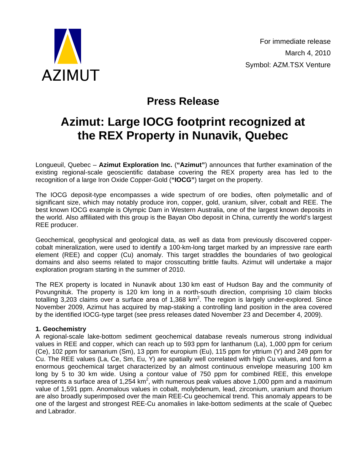

# **Press Release**

# **Azimut: Large IOCG footprint recognized at the REX Property in Nunavik, Quebec**

Longueuil, Quebec – **Azimut Exploration Inc.** (**"Azimut"**) announces that further examination of the existing regional-scale geoscientific database covering the REX property area has led to the recognition of a large Iron Oxide Copper-Gold (**"IOCG"**) target on the property.

The IOCG deposit-type encompasses a wide spectrum of ore bodies, often polymetallic and of significant size, which may notably produce iron, copper, gold, uranium, silver, cobalt and REE. The best known IOCG example is Olympic Dam in Western Australia, one of the largest known deposits in the world. Also affiliated with this group is the Bayan Obo deposit in China, currently the world's largest REE producer.

Geochemical, geophysical and geological data, as well as data from previously discovered coppercobalt mineralization, were used to identify a 100-km-long target marked by an impressive rare earth element (REE) and copper (Cu) anomaly. This target straddles the boundaries of two geological domains and also seems related to major crosscutting brittle faults. Azimut will undertake a major exploration program starting in the summer of 2010.

The REX property is located in Nunavik about 130 km east of Hudson Bay and the community of Povungnituk. The property is 120 km long in a north-south direction, comprising 10 claim blocks totalling 3,203 claims over a surface area of 1,368 km<sup>2</sup>. The region is largely under-explored. Since November 2009, Azimut has acquired by map-staking a controlling land position in the area covered by the identified IOCG-type target (see press releases dated November 23 and December 4, 2009).

## **1. Geochemistry**

A regional-scale lake-bottom sediment geochemical database reveals numerous strong individual values in REE and copper, which can reach up to 593 ppm for lanthanum (La), 1,000 ppm for cerium (Ce), 102 ppm for samarium (Sm), 13 ppm for europium (Eu), 115 ppm for yttrium (Y) and 249 ppm for Cu. The REE values (La, Ce, Sm, Eu, Y) are spatially well correlated with high Cu values, and form a enormous geochemical target characterized by an almost continuous envelope measuring 100 km long by 5 to 30 km wide. Using a contour value of 750 ppm for combined REE, this envelope represents a surface area of 1,254 km<sup>2</sup>, with numerous peak values above 1,000 ppm and a maximum value of 1,591 ppm. Anomalous values in cobalt, molybdenum, lead, zirconium, uranium and thorium are also broadly superimposed over the main REE-Cu geochemical trend. This anomaly appears to be one of the largest and strongest REE-Cu anomalies in lake-bottom sediments at the scale of Quebec and Labrador.